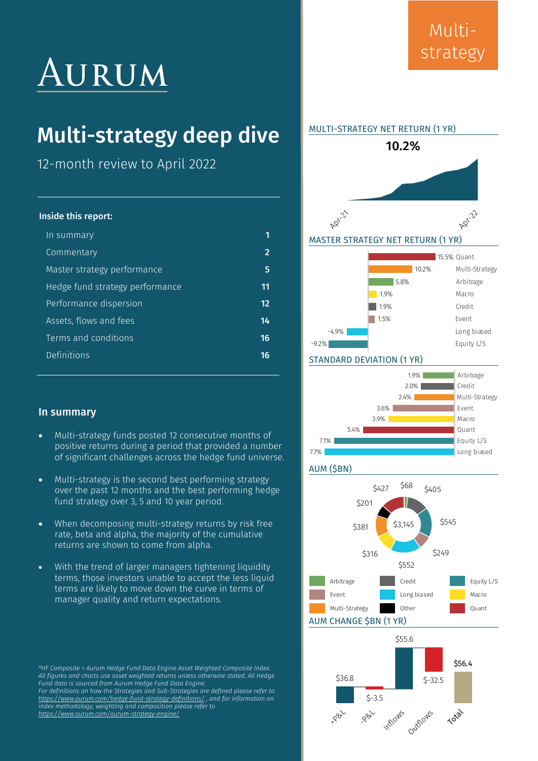## AURUM

## Multi-strategy deep dive

12-month review to April 2022

#### Inside this report:

| In summary                      |                   |
|---------------------------------|-------------------|
| Commentary                      | $\overline{2}$    |
| Master strategy performance     | 5                 |
| Hedge fund strategy performance | 11                |
| Performance dispersion          | $12 \overline{ }$ |
| Assets, flows and fees          | 14                |
| Terms and conditions            | 16                |
| <b>Definitions</b>              | 16                |
|                                 |                   |

#### In summary

- Multi-strategy funds posted 12 consecutive months of positive returns during a period that provided a number of significant challenges across the hedge fund universe.
- Multi-strategy is the second best performing strategy over the past 12 months and the best performing hedge fund strategy over 3, 5 and 10 year period.
- When decomposing multi-strategy returns by risk free rate, beta and alpha, the majority of the cumulative returns are shown to come from alpha.
- With the trend of larger managers tightening liquidity terms, those investors unable to accept the less liquid terms are likely to move down the curve in terms of manager quality and return expectations.

*\*HF Composite = Aurum Hedge Fund Data Engine Asset Weighted Composite Index. All figures and charts use asset weighted returns unless otherwise stated. All Hedge Fund data is sourced from Aurum Hedge Fund Data Engine. For definitions on how the Strategies and Sub-Strategies are defined please refer to [https://www.aurum.com/hedge-fund-strategy-definitions/ ,](https://www.aurum.com/hedge-fund-strategy-definitions/) and for information on index methodology, weighting and composition please refer to <https://www.aurum.com/aurum-strategy-engine/>*

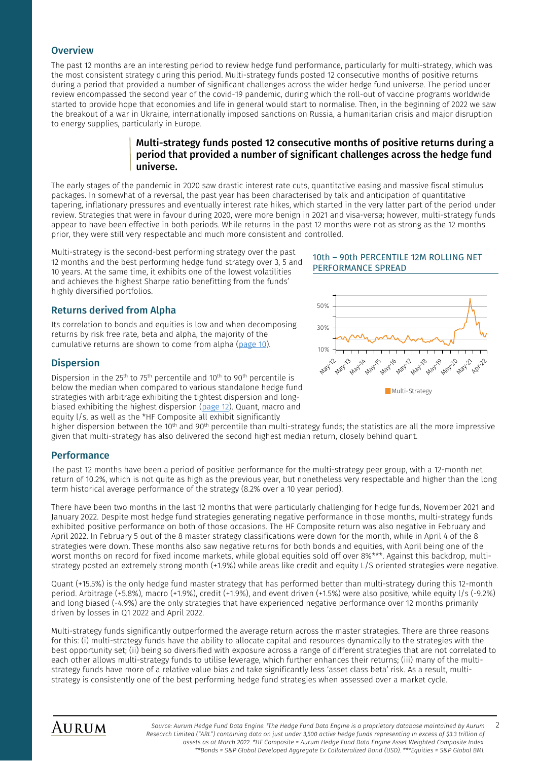#### **Overview**

<span id="page-1-0"></span>The past 12 months are an interesting period to review hedge fund performance, particularly for multi-strategy, which was the most consistent strategy during this period. Multi-strategy funds posted 12 consecutive months of positive returns during a period that provided a number of significant challenges across the wider hedge fund universe. The period under review encompassed the second year of the covid-19 pandemic, during which the roll-out of vaccine programs worldwide started to provide hope that economies and life in general would start to normalise. Then, in the beginning of 2022 we saw the breakout of a war in Ukraine, internationally imposed sanctions on Russia, a humanitarian crisis and major disruption to energy supplies, particularly in Europe.

#### Multi-strategy funds posted 12 consecutive months of positive returns during a period that provided a number of significant challenges across the hedge fund universe.

The early stages of the pandemic in 2020 saw drastic interest rate cuts, quantitative easing and massive fiscal stimulus packages. In somewhat of a reversal, the past year has been characterised by talk and anticipation of quantitative tapering, inflationary pressures and eventually interest rate hikes, which started in the very latter part of the period under review. Strategies that were in favour during 2020, were more benign in 2021 and visa-versa; however, multi-strategy funds appear to have been effective in both periods. While returns in the past 12 months were not as strong as the 12 months prior, they were still very respectable and much more consistent and controlled.

Multi-strategy is the second-best performing strategy over the past 12 months and the best performing hedge fund strategy over 3, 5 and 10 years. At the same time, it exhibits one of the lowest volatilities and achieves the highest Sharpe ratio benefitting from the funds' highly diversified portfolios.

#### Returns derived from Alpha

Its correlation to bonds and equities is low and when decomposing returns by risk free rate, beta and alpha, the majority of the cumulative returns are shown to come from alpha [\(page 10\)](#page-9-0).

#### **Dispersion**

Dispersion in the 25<sup>th</sup> to 75<sup>th</sup> percentile and 10<sup>th</sup> to 90<sup>th</sup> percentile is below the median when compared to various standalone hedge fund<br>Multi-Strategy strategies with arbitrage exhibiting the tightest dispersion and longbiased exhibiting the highest dispersion [\(page 12\)](#page-11-0). Quant, macro and equity l/s, as well as the \*HF Composite all exhibit significantly

#### 10th – 90th PERCENTILE 12M ROLLING NET PERFORMANCE SPREAD



higher dispersion between the 10<sup>th</sup> and 90<sup>th</sup> percentile than multi-strategy funds; the statistics are all the more impressive given that multi-strategy has also delivered the second highest median return, closely behind quant.

#### Performance

The past 12 months have been a period of positive performance for the multi-strategy peer group, with a 12-month net return of 10.2%, which is not quite as high as the previous year, but nonetheless very respectable and higher than the long term historical average performance of the strategy (8.2% over a 10 year period).

There have been two months in the last 12 months that were particularly challenging for hedge funds, November 2021 and January 2022. Despite most hedge fund strategies generating negative performance in those months, multi-strategy funds exhibited positive performance on both of those occasions. The HF Composite return was also negative in February and April 2022. In February 5 out of the 8 master strategy classifications were down for the month, while in April 4 of the 8 strategies were down. These months also saw negative returns for both bonds and equities, with April being one of the worst months on record for fixed income markets, while global equities sold off over 8%\*\*\*. Against this backdrop, multistrategy posted an extremely strong month (+1.9%) while areas like credit and equity L/S oriented strategies were negative.

Quant (+15.5%) is the only hedge fund master strategy that has performed better than multi-strategy during this 12-month period. Arbitrage (+5.8%), macro (+1.9%), credit (+1.9%), and event driven (+1.5%) were also positive, while equity l/s (-9.2%) and long biased (-4.9%) are the only strategies that have experienced negative performance over 12 months primarily driven by losses in Q1 2022 and April 2022.

Multi-strategy funds significantly outperformed the average return across the master strategies. There are three reasons for this: (i) multi-strategy funds have the ability to allocate capital and resources dynamically to the strategies with the best opportunity set; (ii) being so diversified with exposure across a range of different strategies that are not correlated to each other allows multi-strategy funds to utilise leverage, which further enhances their returns; (iii) many of the multistrategy funds have more of a relative value bias and take significantly less 'asset class beta' risk. As a result, multistrategy is consistently one of the best performing hedge fund strategies when assessed over a market cycle.

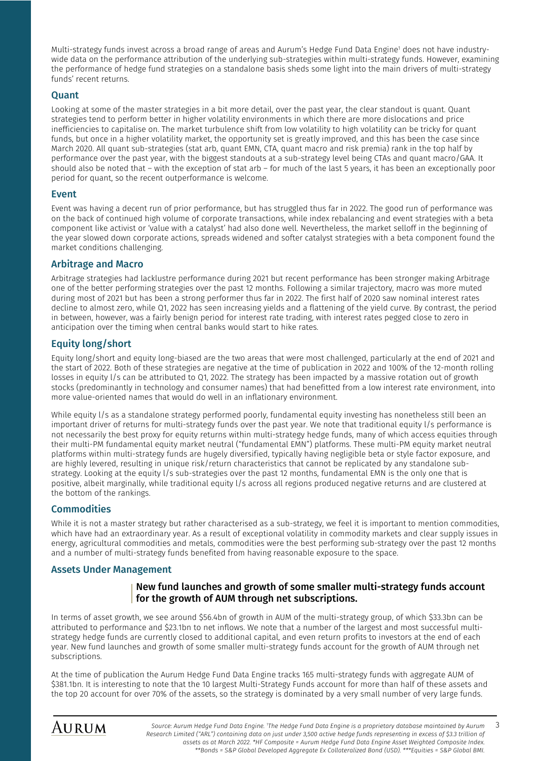Multi-strategy funds invest across a broad range of areas and Aurum's Hedge Fund Data Engine<sup>1</sup> does not have industrywide data on the performance attribution of the underlying sub-strategies within multi-strategy funds. However, examining the performance of hedge fund strategies on a standalone basis sheds some light into the main drivers of multi-strategy funds' recent returns.

#### **Quant**

Looking at some of the master strategies in a bit more detail, over the past year, the clear standout is quant. Quant strategies tend to perform better in higher volatility environments in which there are more dislocations and price inefficiencies to capitalise on. The market turbulence shift from low volatility to high volatility can be tricky for quant funds, but once in a higher volatility market, the opportunity set is greatly improved, and this has been the case since March 2020. All quant sub-strategies (stat arb, quant EMN, CTA, quant macro and risk premia) rank in the top half by performance over the past year, with the biggest standouts at a sub-strategy level being CTAs and quant macro/GAA. It should also be noted that – with the exception of stat arb – for much of the last 5 years, it has been an exceptionally poor period for quant, so the recent outperformance is welcome.

#### Event

Event was having a decent run of prior performance, but has struggled thus far in 2022. The good run of performance was on the back of continued high volume of corporate transactions, while index rebalancing and event strategies with a beta component like activist or 'value with a catalyst' had also done well. Nevertheless, the market selloff in the beginning of the year slowed down corporate actions, spreads widened and softer catalyst strategies with a beta component found the market conditions challenging.

#### Arbitrage and Macro

Arbitrage strategies had lacklustre performance during 2021 but recent performance has been stronger making Arbitrage one of the better performing strategies over the past 12 months. Following a similar trajectory, macro was more muted during most of 2021 but has been a strong performer thus far in 2022. The first half of 2020 saw nominal interest rates decline to almost zero, while Q1, 2022 has seen increasing yields and a flattening of the yield curve. By contrast, the period in between, however, was a fairly benign period for interest rate trading, with interest rates pegged close to zero in anticipation over the timing when central banks would start to hike rates.

#### Equity long/short

Equity long/short and equity long-biased are the two areas that were most challenged, particularly at the end of 2021 and the start of 2022. Both of these strategies are negative at the time of publication in 2022 and 100% of the 12-month rolling losses in equity l/s can be attributed to Q1, 2022. The strategy has been impacted by a massive rotation out of growth stocks (predominantly in technology and consumer names) that had benefitted from a low interest rate environment, into more value-oriented names that would do well in an inflationary environment.

While equity l/s as a standalone strategy performed poorly, fundamental equity investing has nonetheless still been an important driver of returns for multi-strategy funds over the past year. We note that traditional equity l/s performance is not necessarily the best proxy for equity returns within multi-strategy hedge funds, many of which access equities through their multi-PM fundamental equity market neutral ("fundamental EMN") platforms. These multi-PM equity market neutral platforms within multi-strategy funds are hugely diversified, typically having negligible beta or style factor exposure, and are highly levered, resulting in unique risk/return characteristics that cannot be replicated by any standalone substrategy. Looking at the equity l/s sub-strategies over the past 12 months, fundamental EMN is the only one that is positive, albeit marginally, while traditional equity l/s across all regions produced negative returns and are clustered at the bottom of the rankings.

#### **Commodities**

While it is not a master strategy but rather characterised as a sub-strategy, we feel it is important to mention commodities, which have had an extraordinary year. As a result of exceptional volatility in commodity markets and clear supply issues in energy, agricultural commodities and metals, commodities were the best performing sub-strategy over the past 12 months and a number of multi-strategy funds benefited from having reasonable exposure to the space.

#### Assets Under Management

#### New fund launches and growth of some smaller multi-strategy funds account for the growth of AUM through net subscriptions.

In terms of asset growth, we see around \$56.4bn of growth in AUM of the multi-strategy group, of which \$33.3bn can be attributed to performance and \$23.1bn to net inflows. We note that a number of the largest and most successful multistrategy hedge funds are currently closed to additional capital, and even return profits to investors at the end of each year. New fund launches and growth of some smaller multi-strategy funds account for the growth of AUM through net subscriptions.

At the time of publication the Aurum Hedge Fund Data Engine tracks 165 multi-strategy funds with aggregate AUM of \$381.1bn. It is interesting to note that the 10 largest Multi-Strategy Funds account for more than half of these assets and the top 20 account for over 70% of the assets, so the strategy is dominated by a very small number of very large funds.

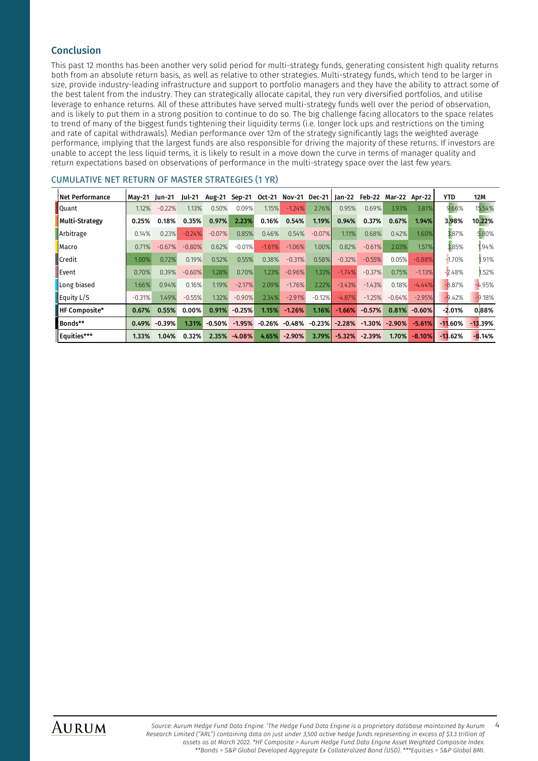#### Conclusion

This past 12 months has been another very solid period for multi-strategy funds, generating consistent high quality returns both from an absolute return basis, as well as relative to other strategies. Multi-strategy funds, which tend to be larger in size, provide industry-leading infrastructure and support to portfolio managers and they have the ability to attract some of the best talent from the industry. They can strategically allocate capital, they run very diversified portfolios, and utilise leverage to enhance returns. All of these attributes have served multi-strategy funds well over the period of observation, and is likely to put them in a strong position to continue to do so. The big challenge facing allocators to the space relates to trend of many of the biggest funds tightening their liquidity terms (i.e. longer lock ups and restrictions on the timing and rate of capital withdrawals). Median performance over 12m of the strategy significantly lags the weighted average performance, implying that the largest funds are also responsible for driving the majority of these returns. If investors are unable to accept the less liquid terms, it is likely to result in a move down the curve in terms of manager quality and return expectations based on observations of performance in the multi-strategy space over the last few years.

#### CUMULATIVE NET RETURN OF MASTER STRATEGIES (1 YR)

| Net Performance | Mav-21 Iun-21 |          | Jul-21   | <b>Aug-21</b> | Sep-21   | Oct-21   |          |           | Nov-21 Dec-21   Jan-22 Feb-22 Mar-22 Apr-22 |          |          |          | <b>YTD</b> | 12M       |
|-----------------|---------------|----------|----------|---------------|----------|----------|----------|-----------|---------------------------------------------|----------|----------|----------|------------|-----------|
| <b>Quant</b>    | 1.12%         | $-0.22%$ | 1.13%    | 0.50%         | 0.09%    | 1.15%    | $-1.24%$ | 2.76%     | 0.95%                                       | 0.69%    | 3.93%    | 3.81%    | 9.66%      | 15.54%    |
| Multi-Strategy  | 0.25%         | 0.18%    | 0.35%    | 0.97%         | 2.23%    | 0.16%    | 0.54%    | 1.19%     | 0.94%                                       | 0.37%    | 0.67%    | 1.94%    | 3.98%      | 10.22%    |
| Arbitrage       | 0.14%         | 0.23%    | $-0.24%$ | $-0.07%$      | 0.85%    | 0.46%    | 0.54%    | $-0.07\%$ | 1.11%                                       | 0.68%    | 0.42%    | 1.60%    | 3.87%      | 5.80%     |
| <b>Macro</b>    | 0.71%         | $-0.67%$ | $-0.80%$ | 0.62%         | $-0.01%$ | $-1.61%$ | $-1.06%$ | 1.00%     | 0.82%                                       | $-0.61%$ | 2.03%    | 1.57%    | 3.85%      | 1.94%     |
| <b>■</b> Credit | 1.00%         | 0.72%    | 0.19%    | 0.52%         | 0.55%    | 0.38%    | $-0.31%$ | 0.58%     | $-0.32%$                                    | $-0.55%$ | 0.05%    | $-0.88%$ | $-1.70%$   | .91%      |
| Event           | 0.70%         | 0.39%    | $-0.60%$ | 1.28%         | 0.70%    | 1.23%    | $-0.96%$ | 1.33%     | $-1.74%$                                    | $-0.37%$ | 0.75%    | $-1.13%$ | $-2.48%$   | .52%      |
| Long biased     | 1.66%         | 0.94%    | 0.16%    | 1.19%         | $-2.17%$ | 2.09%    | $-1.76%$ | 2.22%     | $-3.43%$                                    | $-1.43%$ | 0.18%    | $-4.44%$ | $-8.87%$   | $-4.95%$  |
| Equity $L/S$    | $-0.31%$      | 1.49%    | $-0.55%$ | 1.32%         | $-0.90%$ | 2.34%    | $-2.91%$ | $-0.12%$  | $-4.87%$                                    | $-1.25%$ | $-0.64%$ | $-2.95%$ | $-9.42%$   | $-9.18%$  |
| HF Composite*   | 0.67%         | 0.55%    | $0.00\%$ | 0.91%         | $-0.25%$ | 1.15%    | $-1.26%$ | $1.16\%$  | $-1.66%$                                    | $-0.57%$ | 0.81%    | $-0.60%$ | $-2.01\%$  | 0.88%     |
| Bonds**         | 0.49%         | $-0.39%$ | 1.31%    | $-0.50%$      | $-1.95%$ | $-0.26%$ | -0.48%   | $-0.23%$  | $-2.28%$                                    | $-1.30%$ | $-2.90%$ | $-5.61%$ | $-11.60%$  | $-13.39%$ |
| Equities***     | 1.33%         | 1.04%    | 0.32%    | 2.35%         | $-4.08%$ | 4.65%    | $-2.90%$ | 3.79%     | $-5.32%$                                    | $-2.39%$ | 1.70%    | $-8.10%$ | $-13.62%$  | $-8.14%$  |

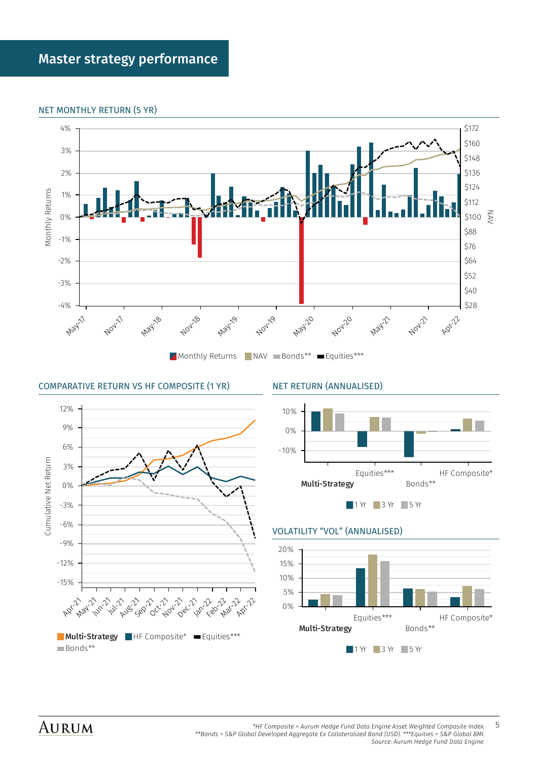#### <span id="page-4-0"></span>NET MONTHLY RETURN (5 YR)



#### COMPARATIVE RETURN VS HF COMPOSITE (1 YR) NET RETURN (ANNUALISED)





#### VOLATILITY "VOL" (ANNUALISED)



### **AURUM**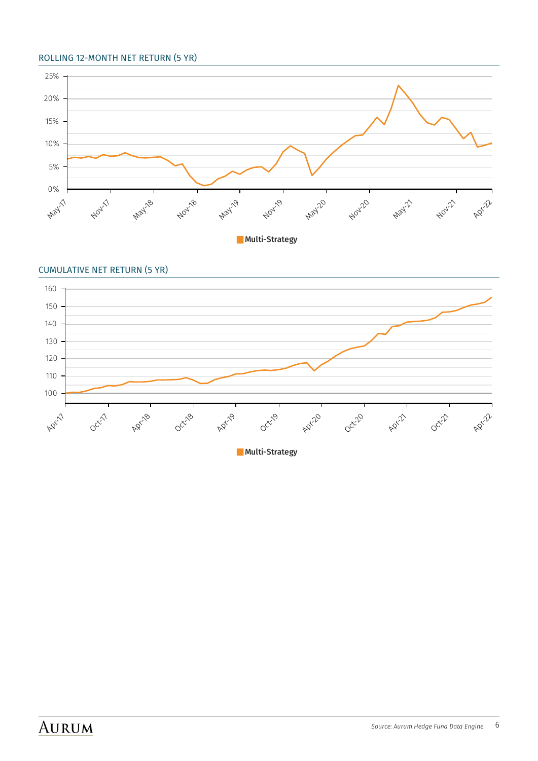#### ROLLING 12-MONTH NET RETURN (5 YR)



**Multi-Strategy** 



**Multi-Strategy**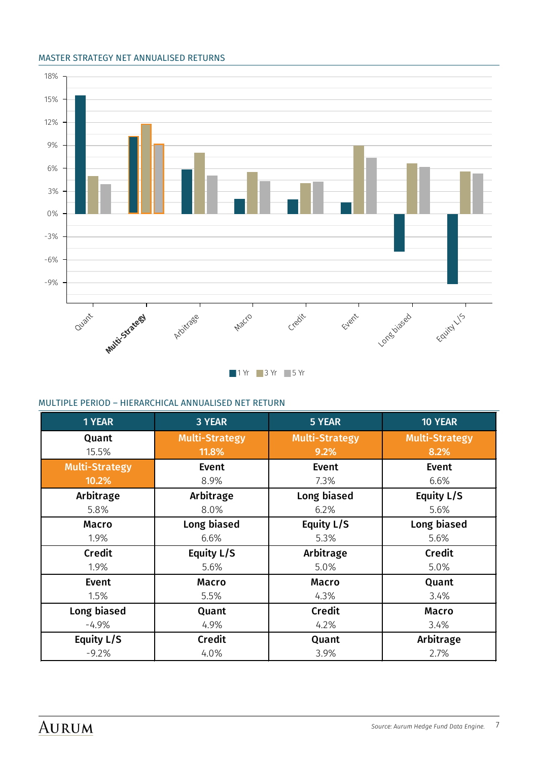#### MASTER STRATEGY NET ANNUALISED RETURNS



#### MULTIPLE PERIOD – HIERARCHICAL ANNUALISED NET RETURN

| <b>1 YEAR</b>         | 3 YEAR                         | 5 YEAR                        | 10 YEAR                       |
|-----------------------|--------------------------------|-------------------------------|-------------------------------|
| Quant<br>15.5%        | <b>Multi-Strategy</b><br>11.8% | <b>Multi-Strategy</b><br>9.2% | <b>Multi-Strategy</b><br>8.2% |
| <b>Multi-Strategy</b> | <b>Event</b>                   | Event                         | Event                         |
| 10.2%                 | 8.9%                           | 7.3%                          | 6.6%                          |
| Arbitrage             | Arbitrage                      | Long biased                   | Equity L/S                    |
| 5.8%                  | 8.0%                           | 6.2%                          | 5.6%                          |
| <b>Macro</b>          | Long biased                    | Equity L/S                    | Long biased                   |
| 1.9%                  | 6.6%                           | 5.3%                          | 5.6%                          |
| Credit                | Equity L/S                     | Arbitrage                     | Credit                        |
| 1.9%                  | 5.6%                           | 5.0%                          | 5.0%                          |
| Event                 | <b>Macro</b>                   | <b>Macro</b>                  | Quant                         |
| 1.5%                  | 5.5%                           | 4.3%                          | 3.4%                          |
| Long biased           | Quant                          | <b>Credit</b>                 | <b>Macro</b>                  |
| $-4.9\%$              | 4.9%                           | 4.2%                          | 3.4%                          |
| Equity L/S            | <b>Credit</b>                  | Quant                         | Arbitrage                     |
| $-9.2%$               | 4.0%                           | 3.9%                          | 2.7%                          |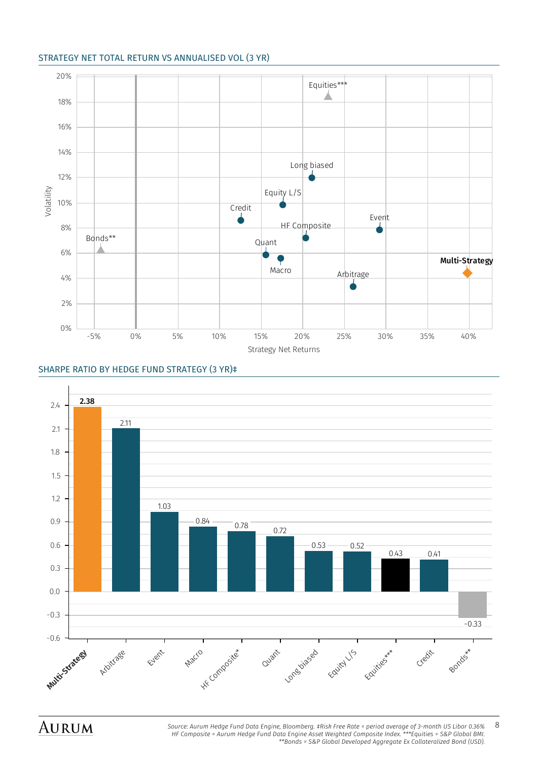#### STRATEGY NET TOTAL RETURN VS ANNUALISED VOL (3 YR)



#### SHARPE RATIO BY HEDGE FUND STRATEGY (3 YR)‡

AURUM



*Source: Aurum Hedge Fund Data Engine, Bloomberg. ‡Risk Free Rate = period average of 3-month US Libor 0.36%* 8 *HF Composite = Aurum Hedge Fund Data Engine Asset Weighted Composite Index. \*\*\*Equities = S&P Global BMI. \*\*Bonds = S&P Global Developed Aggregate Ex Collateralized Bond (USD).*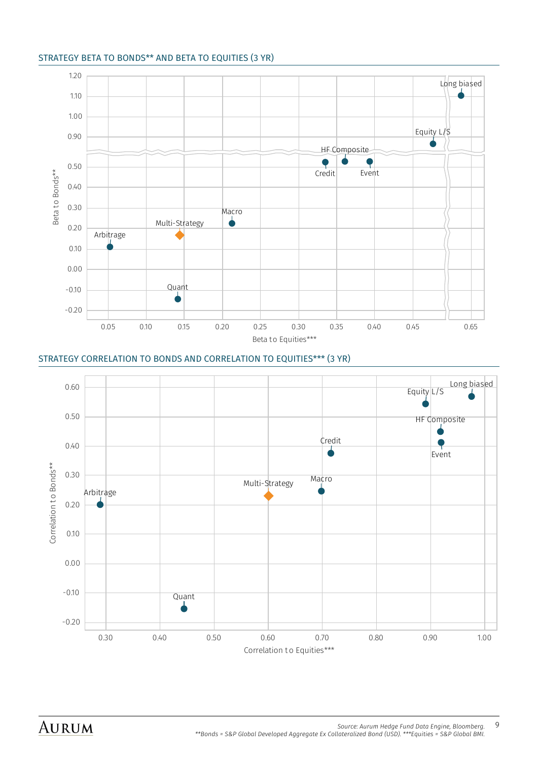#### STRATEGY BETA TO BONDS\*\* AND BETA TO EQUITIES (3 YR)



#### STRATEGY CORRELATION TO BONDS AND CORRELATION TO EQUITIES\*\*\* (3 YR)

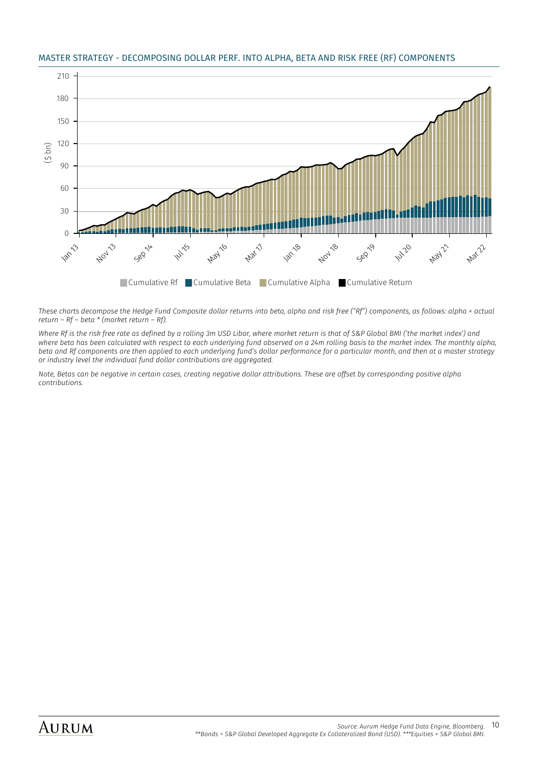#### <span id="page-9-0"></span>MASTER STRATEGY - DECOMPOSING DOLLAR PERF. INTO ALPHA, BETA AND RISK FREE (RF) COMPONENTS



*These charts decompose the Hedge Fund Composite dollar returns into beta, alpha and risk free ("Rf") components, as follows: alpha = actual return – Rf – beta \* (market return – Rf).* 

*Where Rf is the risk free rate as defined by a rolling 3m USD Libor, where market return is that of S&P Global BMI ('the market index') and where beta has been calculated with respect to each underlying fund observed on a 24m rolling basis to the market index. The monthly alpha, beta and Rf components are then applied to each underlying fund's dollar performance for a particular month, and then at a master strategy or industry level the individual fund dollar contributions are aggregated.* 

*Note, Betas can be negative in certain cases, creating negative dollar attributions. These are offset by corresponding positive alpha contributions.*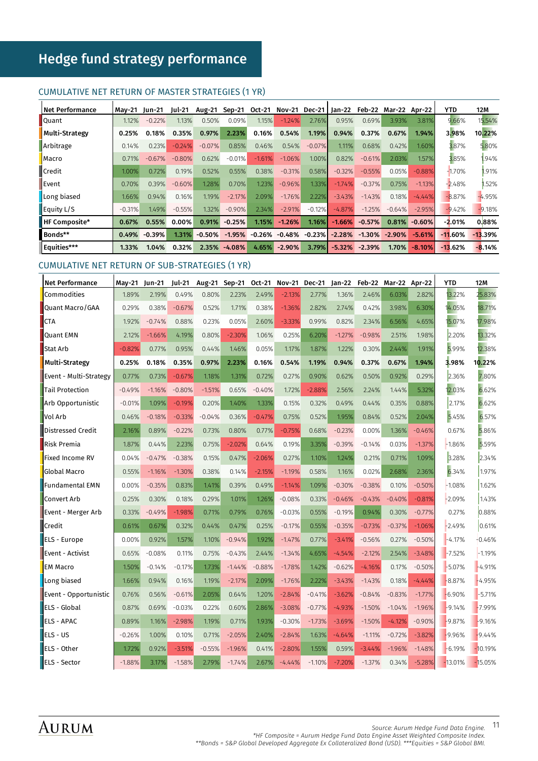## <span id="page-10-0"></span>Hedge fund strategy performance

#### CUMULATIVE NET RETURN OF MASTER STRATEGIES (1 YR)

| l Net Performance | Mav-21 Iun-21 |          | lul-21   | <b>Aug-21</b> | Sep-21       | Oct-21   | Nov-21 Dec-21   Jan-22    |           |          |                   | Feb-22 Mar-22 Apr-22 |          | YTD        | 12M       |
|-------------------|---------------|----------|----------|---------------|--------------|----------|---------------------------|-----------|----------|-------------------|----------------------|----------|------------|-----------|
| <b>Quant</b>      | 1.12%         | $-0.22%$ | 1.13%    | 0.50%         | 0.09%        | 1.15%    | $-1.24%$                  | 2.76%     | 0.95%    | 0.69%             | 3.93%                | 3.81%    | 9.66%      | 15.54%    |
| Multi-Strategy    | 0.25%         | 0.18%    | 0.35%    | 0.97%         | 2.23%        | 0.16%    | 0.54%                     | 1.19%     | 0.94%    | 0.37%             | 0.67%                | 1.94%    | 3.98%      | 10.22%    |
| Arbitrage         | 0.14%         | 0.23%    | $-0.24%$ | $-0.07%$      | 0.85%        | 0.46%    | 0.54%                     | $-0.07\%$ | 1.11%    | 0.68%             | 0.42%                | 1.60%    | 3.87%      | 5.80%     |
| Macro             | 0.71%         | $-0.67%$ | $-0.80%$ | 0.62%         | $-0.01%$     | $-1.61%$ | $-1.06%$                  | 1.00%     | 0.82%    | $-0.61\%$         | 2.03%                | 1.57%    | 3.85%      | 1.94%     |
| <b>■</b> Credit   | $1.00\%$      | 0.72%    | 0.19%    | 0.52%         | 0.55%        | 0.38%    | $-0.31%$                  | 0.58%     | $-0.32%$ | $-0.55%$          | 0.05%                | $-0.88%$ | $-1.70%$   | .91%      |
| Event             | 0.70%         | 0.39%    | $-0.60%$ | 1.28%         | 0.70%        | 1.23%    | $-0.96%$                  | 1.33%     | $-1.74%$ | $-0.37%$          | 0.75%                | $-1.13%$ | $-2.48%$   | .52%      |
| Long biased       | 1.66%         | 0.94%    | 0.16%    | 1.19%         | $-2.17%$     | 2.09%    | $-1.76%$                  | 2.22%     | $-3.43%$ | $-1.43%$          | 0.18%                | $-4.44%$ | $-8.87%$   | $-4.95%$  |
| Equity $L/S$      | $-0.31%$      | 1.49%    | $-0.55%$ | 1.32%         | $-0.90%$     | 2.34%    | $-2.91%$                  | $-0.12\%$ | $-4.87%$ | $-1.25%$          | $-0.64%$             | $-2.95%$ | $-9.42%$   | $-9.18%$  |
| HF Composite*     | 0.67%         | 0.55%    | 0.00%    | 0.91%         | $-0.25%$     | 1.15%    | $-1.26%$                  | $1.16\%$  | $-1.66%$ | $-0.57%$          | 0.81%                | $-0.60%$ | -2.01%     | 0.88%     |
| Bonds**           | 0.49%         | $-0.39%$ | 1.31%    | $-0.50%$      | $-1.95%$     |          | $-0.26\% -0.48\% -0.23\%$ |           |          | $-2.28\% -1.30\%$ | $-2.90%$             | $-5.61%$ | $-11.60\%$ | $-13.39%$ |
| Equities***       | $1.33\%$      | 1.04%    | 0.32%    |               | 2.35% -4.08% | 4.65%    | $-2.90%$                  | 3.79%     | $-5.32%$ | $-2.39%$          | 1.70%                | $-8.10%$ | $-13.62%$  | $-8.14%$  |

#### CUMULATIVE NET RETURN OF SUB-STRATEGIES (1 YR)

| <b>Net Performance</b> | May-21 Jun-21 |          | Jul-21   | <b>Aug-21</b> | Sep-21   | Oct-21   |          | Nov-21 Dec-21 | $Jan-22$ |          | Feb-22 Mar-22 Apr-22 |          | <b>YTD</b> | 12M       |
|------------------------|---------------|----------|----------|---------------|----------|----------|----------|---------------|----------|----------|----------------------|----------|------------|-----------|
| Commodities            | 1.89%         | 2.19%    | 0.49%    | 0.80%         | 2.23%    | 2.49%    | $-2.13%$ | 2.77%         | 1.36%    | 2.46%    | 6.03%                | 2.82%    | 13.22%     | 25.83%    |
| Quant Macro/GAA        | 0.29%         | 0.38%    | $-0.67%$ | 0.52%         | 1.71%    | 0.38%    | $-1.36%$ | 2.82%         | 2.74%    | 0.42%    | 3.98%                | 6.30%    | 14.05%     | 18.71%    |
| <b>CTA</b>             | 1.92%         | $-0.74%$ | 0.88%    | 0.23%         | 0.05%    | 2.60%    | $-3.33%$ | 0.99%         | 0.82%    | 2.34%    | 6.56%                | 4.65%    | 15.07%     | 17.98%    |
| <b>Quant EMN</b>       | 2.12%         | $-1.66%$ | 4.19%    | 0.80%         | $-2.30%$ | 1.06%    | 0.25%    | 6.20%         | $-1.27%$ | $-0.98%$ | 2.51%                | 1.98%    | 2.20%      | 13.32%    |
| Stat Arb               | $-0.82%$      | 0.77%    | 0.95%    | 0.44%         | 1.46%    | 0.05%    | 1.17%    | 1.87%         | 1.22%    | 0.30%    | 2.44%                | 1.91%    | 5.99%      | 12.38%    |
| Multi-Strategy         | 0.25%         | 0.18%    | 0.35%    | 0.97%         | 2.23%    | 0.16%    | 0.54%    | 1.19%         | 0.94%    | 0.37%    | 0.67%                | 1.94%    | 3.98%      | 10.22%    |
| Event - Multi-Strategy | 0.77%         | 0.73%    | $-0.67%$ | 1.18%         | 1.31%    | 0.72%    | 0.27%    | 0.90%         | 0.62%    | 0.50%    | 0.92%                | 0.29%    | 2.36%      | 7.80%     |
| Tail Protection        | $-0.49%$      | $-1.16%$ | $-0.80%$ | $-1.51%$      | 0.65%    | $-0.40%$ | 1.72%    | $-2.88%$      | 2.56%    | 2.24%    | 1.44%                | 5.32%    | 12.03%     | 6.62%     |
| Arb Opportunistic      | $-0.01%$      | 1.09%    | $-0.19%$ | 0.20%         | 1.40%    | 1.33%    | 0.15%    | 0.32%         | 0.49%    | 0.44%    | 0.35%                | 0.88%    | 2.17%      | 6.62%     |
| Vol Arb                | 0.46%         | $-0.18%$ | $-0.33%$ | $-0.04%$      | 0.36%    | $-0.47%$ | 0.75%    | 0.52%         | 1.95%    | 0.84%    | 0.52%                | 2.04%    | 5.45%      | 6.57%     |
| Distressed Credit      | 2.16%         | 0.89%    | $-0.22%$ | 0.73%         | 0.80%    | 0.77%    | $-0.75%$ | 0.68%         | $-0.23%$ | 0.00%    | 1.36%                | $-0.46%$ | 0.67%      | 5.86%     |
| Risk Premia            | 1.87%         | 0.44%    | 2.23%    | 0.75%         | $-2.02%$ | 0.64%    | 0.19%    | 3.35%         | $-0.39%$ | $-0.14%$ | 0.03%                | $-1.37%$ | $-1.86%$   | 5.59%     |
| Fixed Income RV        | 0.04%         | $-0.47%$ | $-0.38%$ | 0.15%         | 0.47%    | $-2.06%$ | 0.27%    | 1.10%         | 1.24%    | 0.21%    | 0.71%                | 1.09%    | 3.28%      | 2.34%     |
| <b>Global Macro</b>    | 0.55%         | $-1.16%$ | $-1.30%$ | 0.38%         | 0.14%    | $-2.15%$ | $-1.19%$ | 0.58%         | 1.16%    | 0.02%    | 2.68%                | 2.36%    | 6.34%      | 1.97%     |
| <b>Fundamental EMN</b> | 0.00%         | $-0.35%$ | 0.83%    | 1.41%         | 0.39%    | 0.49%    | $-1.14%$ | 1.09%         | $-0.30%$ | $-0.38%$ | 0.10%                | $-0.50%$ | $-1.08%$   | 1.62%     |
| Convert Arb            | 0.25%         | 0.30%    | 0.18%    | 0.29%         | 1.01%    | 1.26%    | $-0.08%$ | 0.33%         | $-0.46%$ | $-0.43%$ | $-0.40%$             | $-0.81%$ | $-2.09%$   | 1.43%     |
| Event - Merger Arb     | 0.33%         | $-0.49%$ | $-1.98%$ | 0.71%         | 0.79%    | 0.76%    | $-0.03%$ | 0.55%         | $-0.19%$ | 0.94%    | 0.30%                | $-0.77%$ | 0.27%      | 0.88%     |
| Credit                 | 0.61%         | 0.67%    | 0.32%    | 0.44%         | 0.47%    | 0.25%    | $-0.17%$ | 0.55%         | $-0.35%$ | $-0.73%$ | $-0.37%$             | $-1.06%$ | $-2.49%$   | 0.61%     |
| ELS - Europe           | 0.00%         | 0.92%    | 1.57%    | 1.10%         | $-0.94%$ | 1.92%    | $-1.47%$ | 0.77%         | $-3.41%$ | $-0.56%$ | 0.27%                | $-0.50%$ | $-4.17%$   | $-0.46%$  |
| Event - Activist       | 0.65%         | $-0.08%$ | 0.11%    | 0.75%         | $-0.43%$ | 2.44%    | $-1.34%$ | 4.65%         | $-4.54%$ | $-2.12%$ | 2.54%                | $-3.48%$ | $-7.52%$   | $-1.19%$  |
| <b>EM Macro</b>        | 1.50%         | $-0.14%$ | $-0.17%$ | 1.73%         | $-1.44%$ | $-0.88%$ | $-1.78%$ | 1.42%         | $-0.62%$ | $-4.16%$ | 0.17%                | $-0.50%$ | $-5.07%$   | $-4.91%$  |
| Long biased            | 1.66%         | 0.94%    | 0.16%    | 1.19%         | $-2.17%$ | 2.09%    | $-1.76%$ | 2.22%         | $-3.43%$ | $-1.43%$ | 0.18%                | $-4.44%$ | $-8.87%$   | $-4.95%$  |
| Event - Opportunistic  | 0.76%         | 0.56%    | $-0.61%$ | 2.05%         | 0.64%    | 1.20%    | $-2.84%$ | $-0.41%$      | $-3.62%$ | $-0.84%$ | $-0.83%$             | $-1.77%$ | $-6.90%$   | $-5.71%$  |
| ELS - Global           | 0.87%         | 0.69%    | $-0.03%$ | 0.22%         | 0.60%    | 2.86%    | $-3.08%$ | $-0.77%$      | $-4.93%$ | $-1.50%$ | $-1.04%$             | $-1.96%$ | $-9.14%$   | $-7.99%$  |
| <b>ELS - APAC</b>      | 0.89%         | 1.16%    | $-2.98%$ | 1.19%         | 0.71%    | 1.93%    | $-0.30%$ | $-1.73%$      | $-3.69%$ | $-1.50%$ | $-4.12%$             | $-0.90%$ | $-9.87%$   | $-9.16%$  |
| ELS - US               | $-0.26%$      | 1.00%    | 0.10%    | 0.71%         | $-2.05%$ | 2.40%    | $-2.84%$ | 1.63%         | $-4.64%$ | $-1.11%$ | $-0.72%$             | $-3.82%$ | $-9.96%$   | $-9.44%$  |
| ELS - Other            | 1.72%         | 0.92%    | $-3.51%$ | $-0.55%$      | $-1.96%$ | 0.41%    | $-2.80%$ | 1.55%         | 0.59%    | $-3.44%$ | $-1.96%$             | $-1.48%$ | $-6.19%$   | $-10.19%$ |
| ELS - Sector           | $-1.88%$      | 3.17%    | $-1.58%$ | 2.79%         | $-1.74%$ | 2.67%    | $-4.44%$ | $-1.10%$      | $-7.20%$ | $-1.37%$ | 0.34%                | $-5.28%$ | $-13.01%$  | $-15.05%$ |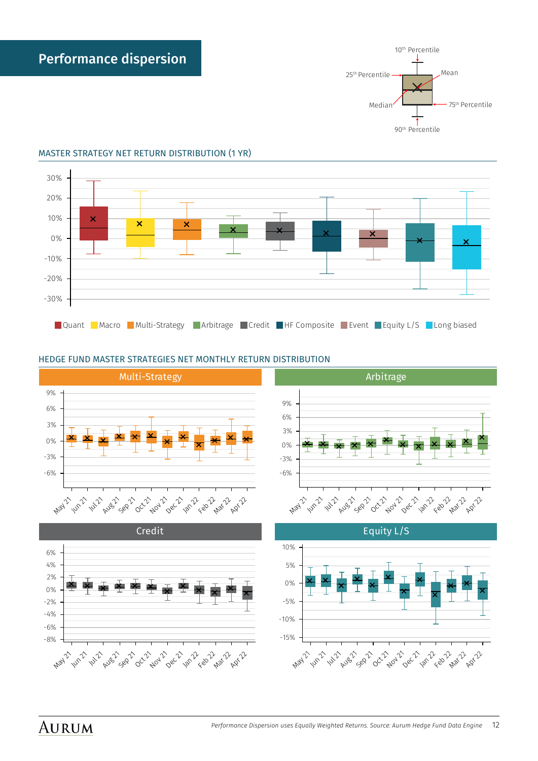



#### <span id="page-11-0"></span>MASTER STRATEGY NET RETURN DISTRIBUTION (1 YR)

#### HEDGE FUND MASTER STRATEGIES NET MONTHLY RETURN DISTRIBUTION









Equity L/S



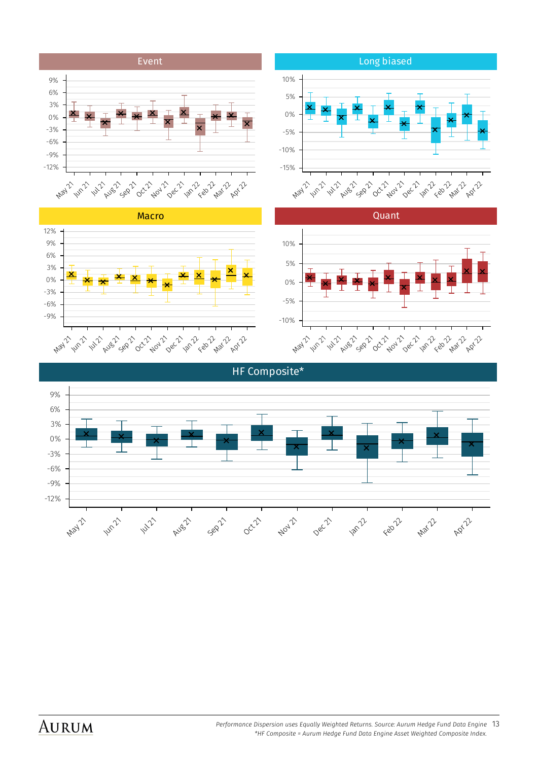





Event

3% 6% 9%



2 Apr 22



## AURUM



Long biased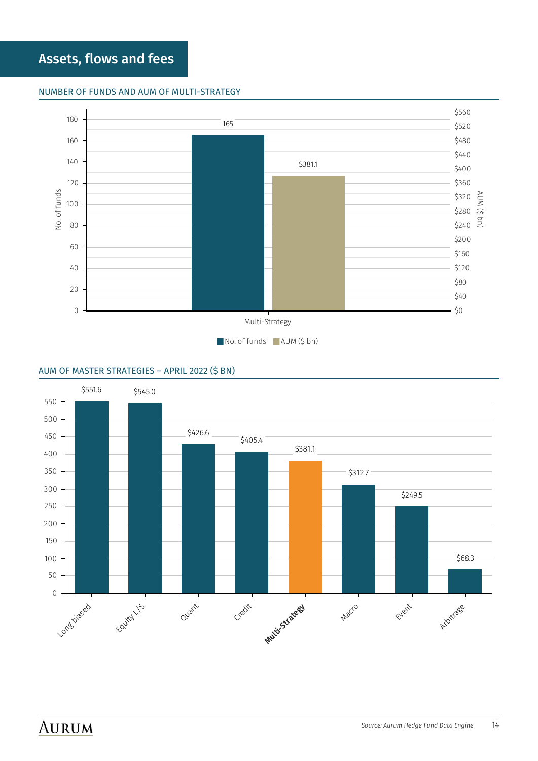## <span id="page-13-0"></span>Assets, flows and fees

#### NUMBER OF FUNDS AND AUM OF MULTI-STRATEGY



#### AUM OF MASTER STRATEGIES – APRIL 2022 (\$ BN)

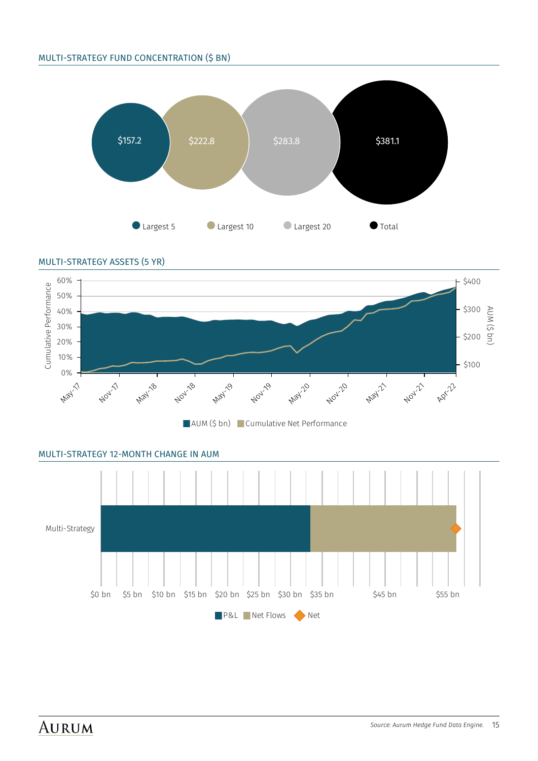#### MULTI-STRATEGY FUND CONCENTRATION (\$ BN)





MULTI-STRATEGY 12-MONTH CHANGE IN AUM

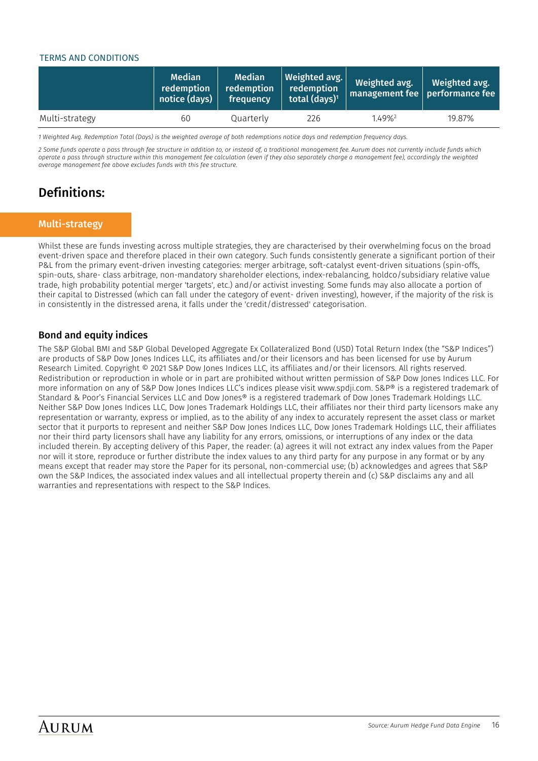#### <span id="page-15-0"></span>TERMS AND CONDITIONS

|                | <b>Median</b><br>redemption<br>notice (days) | <b>Median</b><br>redemption<br>frequency | <b>Weighted avg.</b><br>redemption<br>total $(days)^1$ | Weighted avg.      | Weighted avg.<br>management fee performance fee |
|----------------|----------------------------------------------|------------------------------------------|--------------------------------------------------------|--------------------|-------------------------------------------------|
| Multi-strategy | 60                                           | Quarterly                                | 226                                                    | 1.49% <sup>2</sup> | 19.87%                                          |

*1 Weighted Avg. Redemption Total (Days) is the weighted average of both redemptions notice days and redemption frequency days.*

*2 Some funds operate a pass through fee structure in addition to, or instead of, a traditional management fee. Aurum does not currently include funds which operate a pass through structure within this management fee calculation (even if they also separately charge a management fee), accordingly the weighted average management fee above excludes funds with this fee structure.*

### Definitions:

#### Multi-strategy

Whilst these are funds investing across multiple strategies, they are characterised by their overwhelming focus on the broad event-driven space and therefore placed in their own category. Such funds consistently generate a significant portion of their P&L from the primary event-driven investing categories: merger arbitrage, soft-catalyst event-driven situations (spin-offs, spin-outs, share- class arbitrage, non-mandatory shareholder elections, index-rebalancing, holdco/subsidiary relative value trade, high probability potential merger 'targets', etc.) and/or activist investing. Some funds may also allocate a portion of their capital to Distressed (which can fall under the category of event- driven investing), however, if the majority of the risk is in consistently in the distressed arena, it falls under the 'credit/distressed' categorisation.

#### Bond and equity indices

The S&P Global BMI and S&P Global Developed Aggregate Ex Collateralized Bond (USD) Total Return Index (the "S&P Indices") are products of S&P Dow Jones Indices LLC, its affiliates and/or their licensors and has been licensed for use by Aurum Research Limited. Copyright © 2021 S&P Dow Jones Indices LLC, its affiliates and/or their licensors. All rights reserved. Redistribution or reproduction in whole or in part are prohibited without written permission of S&P Dow Jones Indices LLC. For more information on any of S&P Dow Jones Indices LLC's indices please visit www.spdji.com. S&P® is a registered trademark of Standard & Poor's Financial Services LLC and Dow Jones® is a registered trademark of Dow Jones Trademark Holdings LLC. Neither S&P Dow Jones Indices LLC, Dow Jones Trademark Holdings LLC, their affiliates nor their third party licensors make any representation or warranty, express or implied, as to the ability of any index to accurately represent the asset class or market sector that it purports to represent and neither S&P Dow Jones Indices LLC, Dow Jones Trademark Holdings LLC, their affiliates nor their third party licensors shall have any liability for any errors, omissions, or interruptions of any index or the data included therein. By accepting delivery of this Paper, the reader: (a) agrees it will not extract any index values from the Paper nor will it store, reproduce or further distribute the index values to any third party for any purpose in any format or by any means except that reader may store the Paper for its personal, non-commercial use; (b) acknowledges and agrees that S&P own the S&P Indices, the associated index values and all intellectual property therein and (c) S&P disclaims any and all warranties and representations with respect to the S&P Indices.